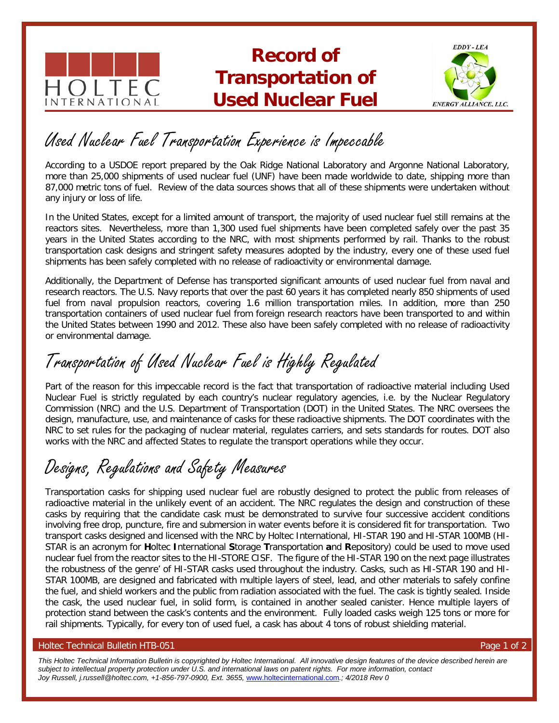

### **Record of Transportation of Used Nuclear Fuel**



## Used Nuclear Fuel Transportation Experience is Impeccable

According to a USDOE report prepared by the Oak Ridge National Laboratory and Argonne National Laboratory, more than 25,000 shipments of used nuclear fuel (UNF) have been made worldwide to date, shipping more than 87,000 metric tons of fuel. Review of the data sources shows that all of these shipments were undertaken without any injury or loss of life.

In the United States, except for a limited amount of transport, the majority of used nuclear fuel still remains at the reactors sites. Nevertheless, more than 1,300 used fuel shipments have been completed safely over the past 35 years in the United States according to the NRC, with most shipments performed by rail. Thanks to the robust transportation cask designs and stringent safety measures adopted by the industry, every one of these used fuel shipments has been safely completed with no release of radioactivity or environmental damage.

Additionally, the Department of Defense has transported significant amounts of used nuclear fuel from naval and research reactors. The U.S. Navy reports that over the past 60 years it has completed nearly 850 shipments of used fuel from naval propulsion reactors, covering 1.6 million transportation miles. In addition, more than 250 transportation containers of used nuclear fuel from foreign research reactors have been transported to and within the United States between 1990 and 2012. These also have been safely completed with no release of radioactivity or environmental damage.

# Transportation of Used Nuclear Fuel is Highly Regulated

Part of the reason for this impeccable record is the fact that transportation of radioactive material including Used Nuclear Fuel is strictly regulated by each country's nuclear regulatory agencies, i.e. by the Nuclear Regulatory Commission (NRC) and the U.S. Department of Transportation (DOT) in the United States. The NRC oversees the design, manufacture, use, and maintenance of casks for these radioactive shipments. The DOT coordinates with the NRC to set rules for the packaging of nuclear material, regulates carriers, and sets standards for routes. DOT also works with the NRC and affected States to regulate the transport operations while they occur.

# Designs, Regulations and Safety Measures

Transportation casks for shipping used nuclear fuel are robustly designed to protect the public from releases of radioactive material in the unlikely event of an accident. The NRC regulates the design and construction of these casks by requiring that the candidate cask must be demonstrated to survive four successive accident conditions involving free drop, puncture, fire and submersion in water events before it is considered fit for transportation. Two transport casks designed and licensed with the NRC by Holtec International, HI-STAR 190 and HI-STAR 100MB (HI-STAR is an acronym for **H**oltec **I**nternational **S**torage **T**ransportation **a**nd **R**epository) could be used to move used nuclear fuel from the reactor sites to the HI-STORE CISF. The figure of the HI-STAR 190 on the next page illustrates the robustness of the genre' of HI-STAR casks used throughout the industry. Casks, such as HI-STAR 190 and HI-STAR 100MB, are designed and fabricated with multiple layers of steel, lead, and other materials to safely confine the fuel, and shield workers and the public from radiation associated with the fuel. The cask is tightly sealed. Inside the cask, the used nuclear fuel, in solid form, is contained in another sealed canister. Hence multiple layers of protection stand between the cask's contents and the environment. Fully loaded casks weigh 125 tons or more for rail shipments. Typically, for every ton of used fuel, a cask has about 4 tons of robust shielding material.

#### Holtec Technical Bulletin HTB-051

*This Holtec Technical Information Bulletin is copyrighted by Holtec International. All innovative design features of the device described herein are subject to intellectual property protection under U.S. and international laws on patent rights. For more information, contact Joy Russell, j.russell@holtec.com, +1-856-797-0900, Ext. 3655,* www.holt[ecinternational.com](http://www.holtecinternational.com/)*.; 4/2018 Rev 0*